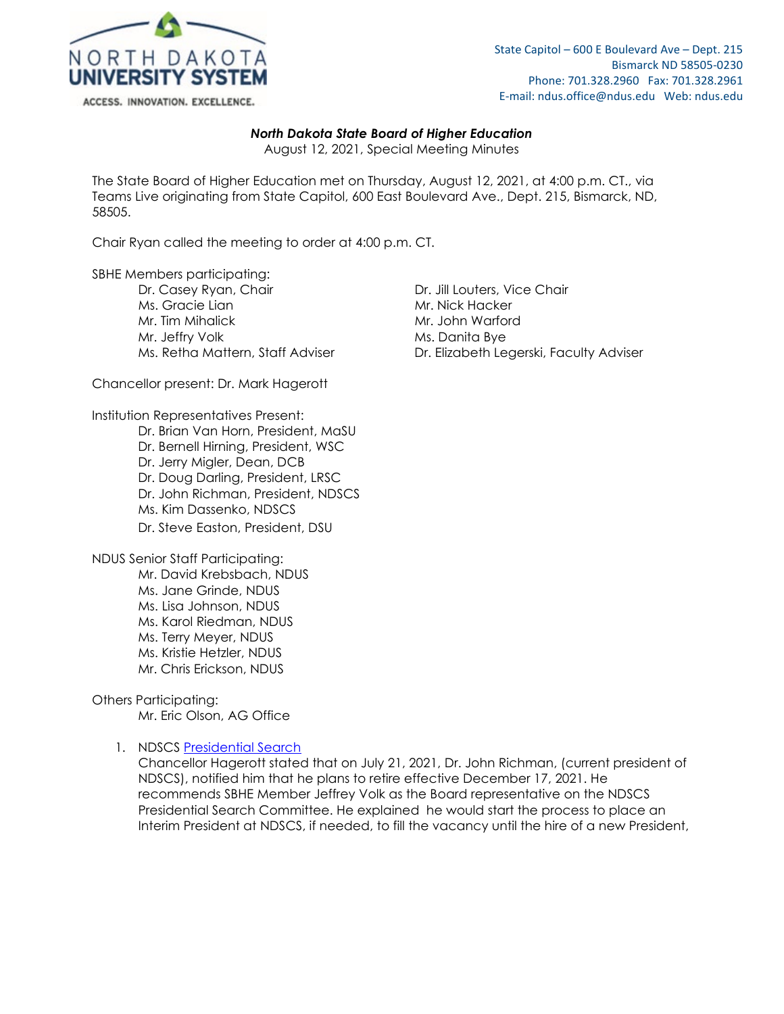

## *North Dakota State Board of Higher Education*

August 12, 2021, Special Meeting Minutes

The State Board of Higher Education met on Thursday, August 12, 2021, at 4:00 p.m. CT., via Teams Live originating from State Capitol, 600 East Boulevard Ave., Dept. 215, Bismarck, ND, 58505.

Chair Ryan called the meeting to order at 4:00 p.m. CT.

SBHE Members participating:

Dr. Casey Ryan, Chair **Dr. Jill Louters, Vice Chair** Ms. Gracie Lian Mr. Nick Hacker Mr. Tim Mihalick Mr. John Warford Mr. Jeffry Volk Mr. Danita Bye Ms. Retha Mattern, Staff Adviser **Dr. Elizabeth Legerski, Faculty Adviser** 

Chancellor present: Dr. Mark Hagerott

Institution Representatives Present:

Dr. Brian Van Horn, President, MaSU Dr. Bernell Hirning, President, WSC Dr. Jerry Migler, Dean, DCB Dr. Doug Darling, President, LRSC Dr. John Richman, President, NDSCS Ms. Kim Dassenko, NDSCS Dr. Steve Easton, President, DSU

NDUS Senior Staff Participating: Mr. David Krebsbach, NDUS Ms. Jane Grinde, NDUS Ms. Lisa Johnson, NDUS Ms. Karol Riedman, NDUS Ms. Terry Meyer, NDUS Ms. Kristie Hetzler, NDUS Mr. Chris Erickson, NDUS

## Others Participating:

Mr. Eric Olson, AG Office

## 1. NDSCS [Presidential Search](https://ndusbpos.sharepoint.com/:b:/s/NDUSSBHE/EaxvRpbqNxFIg-1m2t3bXR8B8jUthv2fJp4Z5SYIh-IbZw?e=LXhNHY)

Chancellor Hagerott stated that on July 21, 2021, Dr. John Richman, (current president of NDSCS), notified him that he plans to retire effective December 17, 2021. He recommends SBHE Member Jeffrey Volk as the Board representative on the NDSCS Presidential Search Committee. He explained he would start the process to place an Interim President at NDSCS, if needed, to fill the vacancy until the hire of a new President,